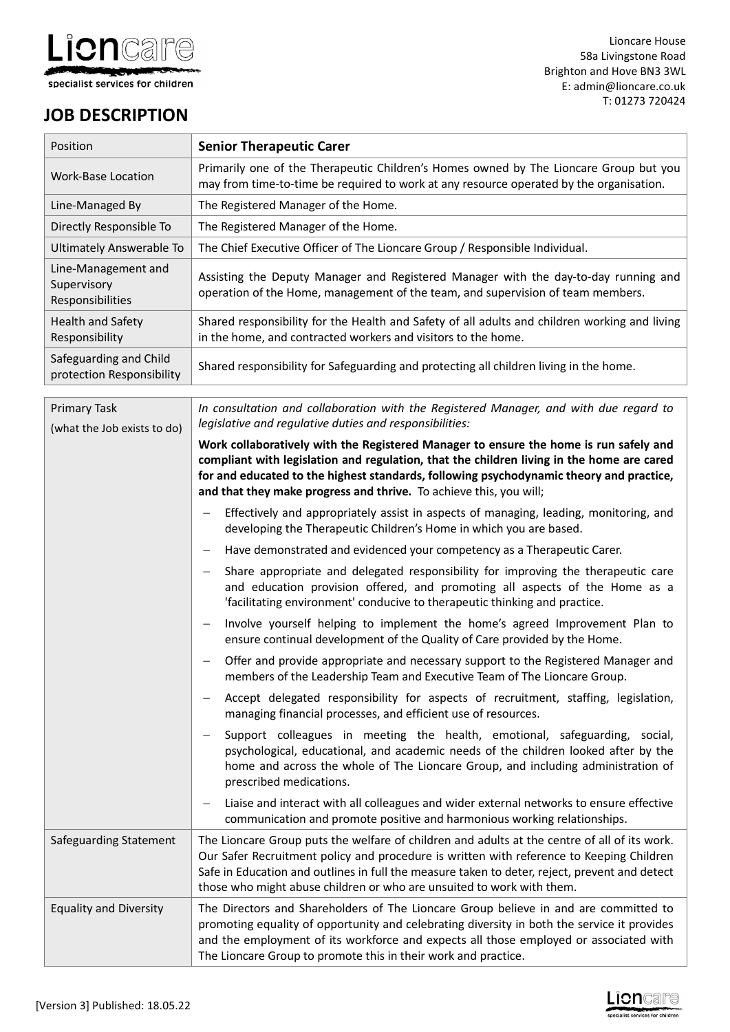

Lioncare House 58a Livingstone Road Brighton and Hove BN3 3WL E: admin@lioncare.co.uk T: 01273 720424

# **JOB DESCRIPTION**

| Position                                               | <b>Senior Therapeutic Carer</b>                                                                                                                                                  |
|--------------------------------------------------------|----------------------------------------------------------------------------------------------------------------------------------------------------------------------------------|
| Work-Base Location                                     | Primarily one of the Therapeutic Children's Homes owned by The Lioncare Group but you<br>may from time-to-time be required to work at any resource operated by the organisation. |
| Line-Managed By                                        | The Registered Manager of the Home.                                                                                                                                              |
| Directly Responsible To                                | The Registered Manager of the Home.                                                                                                                                              |
| Ultimately Answerable To                               | The Chief Executive Officer of The Lioncare Group / Responsible Individual.                                                                                                      |
| Line-Management and<br>Supervisory<br>Responsibilities | Assisting the Deputy Manager and Registered Manager with the day-to-day running and<br>operation of the Home, management of the team, and supervision of team members.           |
| <b>Health and Safety</b><br>Responsibility             | Shared responsibility for the Health and Safety of all adults and children working and living<br>in the home, and contracted workers and visitors to the home.                   |
| Safeguarding and Child<br>protection Responsibility    | Shared responsibility for Safeguarding and protecting all children living in the home.                                                                                           |
|                                                        |                                                                                                                                                                                  |

| Primary Task<br>(what the Job exists to do) | In consultation and collaboration with the Registered Manager, and with due regard to<br>legislative and regulative duties and responsibilities:                                                                                                                                                                                                                   |
|---------------------------------------------|--------------------------------------------------------------------------------------------------------------------------------------------------------------------------------------------------------------------------------------------------------------------------------------------------------------------------------------------------------------------|
|                                             | Work collaboratively with the Registered Manager to ensure the home is run safely and<br>compliant with legislation and regulation, that the children living in the home are cared<br>for and educated to the highest standards, following psychodynamic theory and practice,<br>and that they make progress and thrive. To achieve this, you will;                |
|                                             | Effectively and appropriately assist in aspects of managing, leading, monitoring, and<br>developing the Therapeutic Children's Home in which you are based.                                                                                                                                                                                                        |
|                                             | Have demonstrated and evidenced your competency as a Therapeutic Carer.                                                                                                                                                                                                                                                                                            |
|                                             | Share appropriate and delegated responsibility for improving the therapeutic care<br>and education provision offered, and promoting all aspects of the Home as a<br>'facilitating environment' conducive to therapeutic thinking and practice.                                                                                                                     |
|                                             | Involve yourself helping to implement the home's agreed Improvement Plan to<br>ensure continual development of the Quality of Care provided by the Home.                                                                                                                                                                                                           |
|                                             | Offer and provide appropriate and necessary support to the Registered Manager and<br>members of the Leadership Team and Executive Team of The Lioncare Group.                                                                                                                                                                                                      |
|                                             | Accept delegated responsibility for aspects of recruitment, staffing, legislation,<br>managing financial processes, and efficient use of resources.                                                                                                                                                                                                                |
|                                             | Support colleagues in meeting the health, emotional, safeguarding, social,<br>psychological, educational, and academic needs of the children looked after by the<br>home and across the whole of The Lioncare Group, and including administration of<br>prescribed medications.                                                                                    |
|                                             | Liaise and interact with all colleagues and wider external networks to ensure effective<br>communication and promote positive and harmonious working relationships.                                                                                                                                                                                                |
| Safeguarding Statement                      | The Lioncare Group puts the welfare of children and adults at the centre of all of its work.<br>Our Safer Recruitment policy and procedure is written with reference to Keeping Children<br>Safe in Education and outlines in full the measure taken to deter, reject, prevent and detect<br>those who might abuse children or who are unsuited to work with them. |
| <b>Equality and Diversity</b>               | The Directors and Shareholders of The Lioncare Group believe in and are committed to<br>promoting equality of opportunity and celebrating diversity in both the service it provides<br>and the employment of its workforce and expects all those employed or associated with<br>The Lioncare Group to promote this in their work and practice.                     |

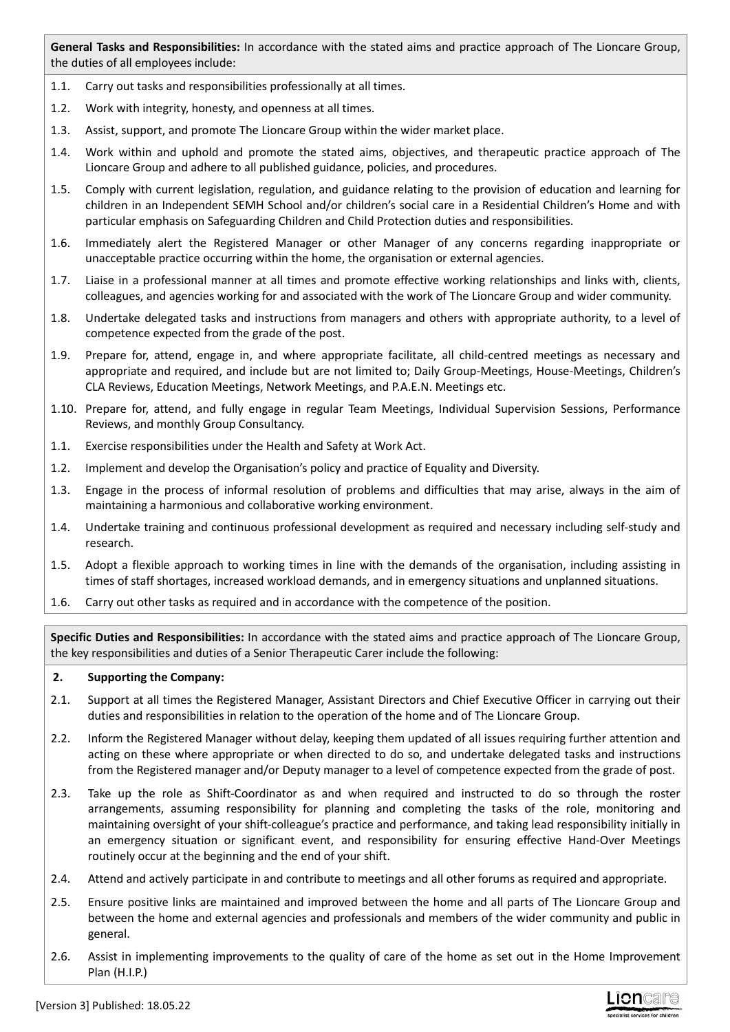**General Tasks and Responsibilities:** In accordance with the stated aims and practice approach of The Lioncare Group, the duties of all employees include:

- 1.1. Carry out tasks and responsibilities professionally at all times.
- 1.2. Work with integrity, honesty, and openness at all times.
- 1.3. Assist, support, and promote The Lioncare Group within the wider market place.
- 1.4. Work within and uphold and promote the stated aims, objectives, and therapeutic practice approach of The Lioncare Group and adhere to all published guidance, policies, and procedures.
- 1.5. Comply with current legislation, regulation, and guidance relating to the provision of education and learning for children in an Independent SEMH School and/or children's social care in a Residential Children's Home and with particular emphasis on Safeguarding Children and Child Protection duties and responsibilities.
- 1.6. Immediately alert the Registered Manager or other Manager of any concerns regarding inappropriate or unacceptable practice occurring within the home, the organisation or external agencies.
- 1.7. Liaise in a professional manner at all times and promote effective working relationships and links with, clients, colleagues, and agencies working for and associated with the work of The Lioncare Group and wider community.
- 1.8. Undertake delegated tasks and instructions from managers and others with appropriate authority, to a level of competence expected from the grade of the post.
- 1.9. Prepare for, attend, engage in, and where appropriate facilitate, all child-centred meetings as necessary and appropriate and required, and include but are not limited to; Daily Group-Meetings, House-Meetings, Children's CLA Reviews, Education Meetings, Network Meetings, and P.A.E.N. Meetings etc.
- 1.10. Prepare for, attend, and fully engage in regular Team Meetings, Individual Supervision Sessions, Performance Reviews, and monthly Group Consultancy.
- 1.1. Exercise responsibilities under the Health and Safety at Work Act.
- 1.2. Implement and develop the Organisation's policy and practice of Equality and Diversity.
- 1.3. Engage in the process of informal resolution of problems and difficulties that may arise, always in the aim of maintaining a harmonious and collaborative working environment.
- 1.4. Undertake training and continuous professional development as required and necessary including self-study and research.
- 1.5. Adopt a flexible approach to working times in line with the demands of the organisation, including assisting in times of staff shortages, increased workload demands, and in emergency situations and unplanned situations.
- 1.6. Carry out other tasks as required and in accordance with the competence of the position.

**Specific Duties and Responsibilities:** In accordance with the stated aims and practice approach of The Lioncare Group, the key responsibilities and duties of a Senior Therapeutic Carer include the following:

## **2. Supporting the Company:**

- 2.1. Support at all times the Registered Manager, Assistant Directors and Chief Executive Officer in carrying out their duties and responsibilities in relation to the operation of the home and of The Lioncare Group.
- 2.2. Inform the Registered Manager without delay, keeping them updated of all issues requiring further attention and acting on these where appropriate or when directed to do so, and undertake delegated tasks and instructions from the Registered manager and/or Deputy manager to a level of competence expected from the grade of post.
- 2.3. Take up the role as Shift-Coordinator as and when required and instructed to do so through the roster arrangements, assuming responsibility for planning and completing the tasks of the role, monitoring and maintaining oversight of your shift-colleague's practice and performance, and taking lead responsibility initially in an emergency situation or significant event, and responsibility for ensuring effective Hand-Over Meetings routinely occur at the beginning and the end of your shift.
- 2.4. Attend and actively participate in and contribute to meetings and all other forums as required and appropriate.
- 2.5. Ensure positive links are maintained and improved between the home and all parts of The Lioncare Group and between the home and external agencies and professionals and members of the wider community and public in general.
- 2.6. Assist in implementing improvements to the quality of care of the home as set out in the Home Improvement Plan (H.I.P.)

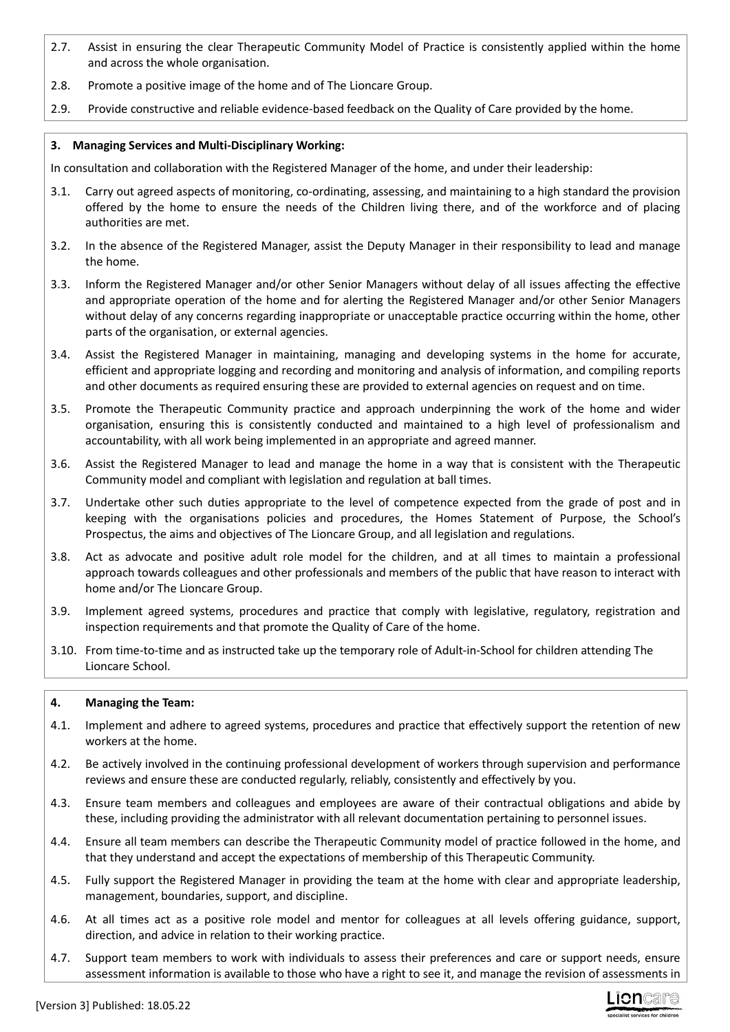- 2.7. Assist in ensuring the clear Therapeutic Community Model of Practice is consistently applied within the home and across the whole organisation.
- 2.8. Promote a positive image of the home and of The Lioncare Group.
- 2.9. Provide constructive and reliable evidence-based feedback on the Quality of Care provided by the home.

# **3. Managing Services and Multi-Disciplinary Working:**

In consultation and collaboration with the Registered Manager of the home, and under their leadership:

- 3.1. Carry out agreed aspects of monitoring, co-ordinating, assessing, and maintaining to a high standard the provision offered by the home to ensure the needs of the Children living there, and of the workforce and of placing authorities are met.
- 3.2. In the absence of the Registered Manager, assist the Deputy Manager in their responsibility to lead and manage the home.
- 3.3. Inform the Registered Manager and/or other Senior Managers without delay of all issues affecting the effective and appropriate operation of the home and for alerting the Registered Manager and/or other Senior Managers without delay of any concerns regarding inappropriate or unacceptable practice occurring within the home, other parts of the organisation, or external agencies.
- 3.4. Assist the Registered Manager in maintaining, managing and developing systems in the home for accurate, efficient and appropriate logging and recording and monitoring and analysis of information, and compiling reports and other documents as required ensuring these are provided to external agencies on request and on time.
- 3.5. Promote the Therapeutic Community practice and approach underpinning the work of the home and wider organisation, ensuring this is consistently conducted and maintained to a high level of professionalism and accountability, with all work being implemented in an appropriate and agreed manner.
- 3.6. Assist the Registered Manager to lead and manage the home in a way that is consistent with the Therapeutic Community model and compliant with legislation and regulation at ball times.
- 3.7. Undertake other such duties appropriate to the level of competence expected from the grade of post and in keeping with the organisations policies and procedures, the Homes Statement of Purpose, the School's Prospectus, the aims and objectives of The Lioncare Group, and all legislation and regulations.
- 3.8. Act as advocate and positive adult role model for the children, and at all times to maintain a professional approach towards colleagues and other professionals and members of the public that have reason to interact with home and/or The Lioncare Group.
- 3.9. Implement agreed systems, procedures and practice that comply with legislative, regulatory, registration and inspection requirements and that promote the Quality of Care of the home.
- 3.10. From time-to-time and as instructed take up the temporary role of Adult-in-School for children attending The Lioncare School.

## **4. Managing the Team:**

- 4.1. Implement and adhere to agreed systems, procedures and practice that effectively support the retention of new workers at the home.
- 4.2. Be actively involved in the continuing professional development of workers through supervision and performance reviews and ensure these are conducted regularly, reliably, consistently and effectively by you.
- 4.3. Ensure team members and colleagues and employees are aware of their contractual obligations and abide by these, including providing the administrator with all relevant documentation pertaining to personnel issues.
- 4.4. Ensure all team members can describe the Therapeutic Community model of practice followed in the home, and that they understand and accept the expectations of membership of this Therapeutic Community.
- 4.5. Fully support the Registered Manager in providing the team at the home with clear and appropriate leadership, management, boundaries, support, and discipline.
- 4.6. At all times act as a positive role model and mentor for colleagues at all levels offering guidance, support, direction, and advice in relation to their working practice.
- 4.7. Support team members to work with individuals to assess their preferences and care or support needs, ensure assessment information is available to those who have a right to see it, and manage the revision of assessments in

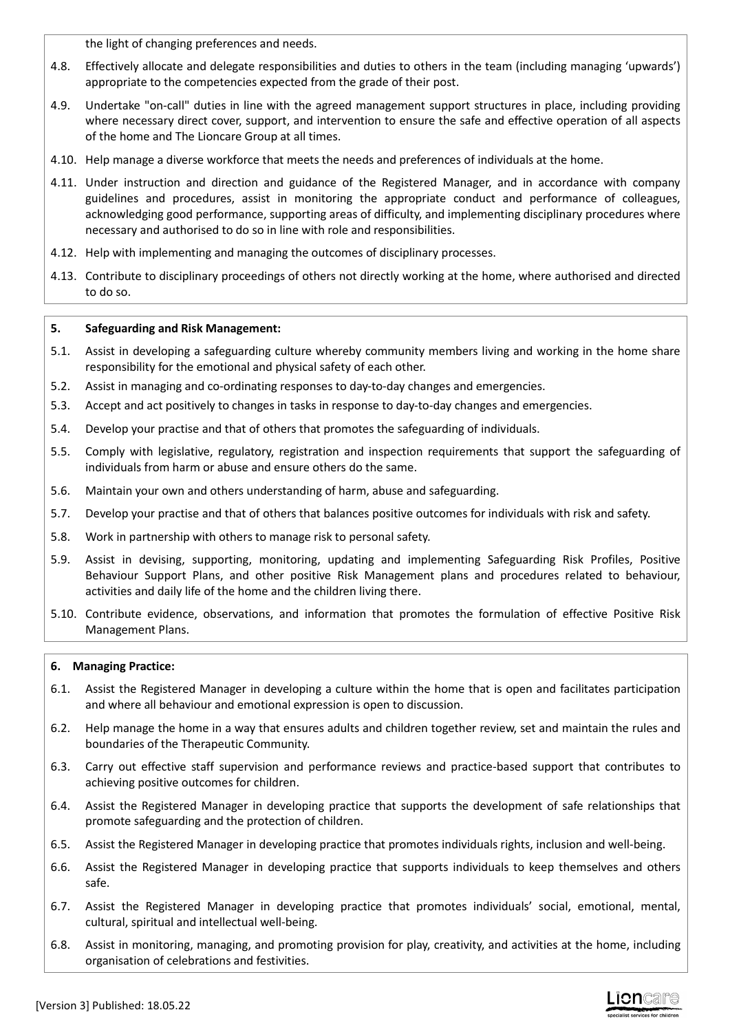the light of changing preferences and needs.

- 4.8. Effectively allocate and delegate responsibilities and duties to others in the team (including managing 'upwards') appropriate to the competencies expected from the grade of their post.
- 4.9. Undertake "on-call" duties in line with the agreed management support structures in place, including providing where necessary direct cover, support, and intervention to ensure the safe and effective operation of all aspects of the home and The Lioncare Group at all times.
- 4.10. Help manage a diverse workforce that meets the needs and preferences of individuals at the home.
- 4.11. Under instruction and direction and guidance of the Registered Manager, and in accordance with company guidelines and procedures, assist in monitoring the appropriate conduct and performance of colleagues, acknowledging good performance, supporting areas of difficulty, and implementing disciplinary procedures where necessary and authorised to do so in line with role and responsibilities.
- 4.12. Help with implementing and managing the outcomes of disciplinary processes.
- 4.13. Contribute to disciplinary proceedings of others not directly working at the home, where authorised and directed to do so.

# **5. Safeguarding and Risk Management:**

- 5.1. Assist in developing a safeguarding culture whereby community members living and working in the home share responsibility for the emotional and physical safety of each other.
- 5.2. Assist in managing and co-ordinating responses to day-to-day changes and emergencies.
- 5.3. Accept and act positively to changes in tasks in response to day-to-day changes and emergencies.
- 5.4. Develop your practise and that of others that promotes the safeguarding of individuals.
- 5.5. Comply with legislative, regulatory, registration and inspection requirements that support the safeguarding of individuals from harm or abuse and ensure others do the same.
- 5.6. Maintain your own and others understanding of harm, abuse and safeguarding.
- 5.7. Develop your practise and that of others that balances positive outcomes for individuals with risk and safety.
- 5.8. Work in partnership with others to manage risk to personal safety.
- 5.9. Assist in devising, supporting, monitoring, updating and implementing Safeguarding Risk Profiles, Positive Behaviour Support Plans, and other positive Risk Management plans and procedures related to behaviour, activities and daily life of the home and the children living there.
- 5.10. Contribute evidence, observations, and information that promotes the formulation of effective Positive Risk Management Plans.

## **6. Managing Practice:**

- 6.1. Assist the Registered Manager in developing a culture within the home that is open and facilitates participation and where all behaviour and emotional expression is open to discussion.
- 6.2. Help manage the home in a way that ensures adults and children together review, set and maintain the rules and boundaries of the Therapeutic Community.
- 6.3. Carry out effective staff supervision and performance reviews and practice-based support that contributes to achieving positive outcomes for children.
- 6.4. Assist the Registered Manager in developing practice that supports the development of safe relationships that promote safeguarding and the protection of children.
- 6.5. Assist the Registered Manager in developing practice that promotes individuals rights, inclusion and well-being.
- 6.6. Assist the Registered Manager in developing practice that supports individuals to keep themselves and others safe.
- 6.7. Assist the Registered Manager in developing practice that promotes individuals' social, emotional, mental, cultural, spiritual and intellectual well-being.
- 6.8. Assist in monitoring, managing, and promoting provision for play, creativity, and activities at the home, including organisation of celebrations and festivities.

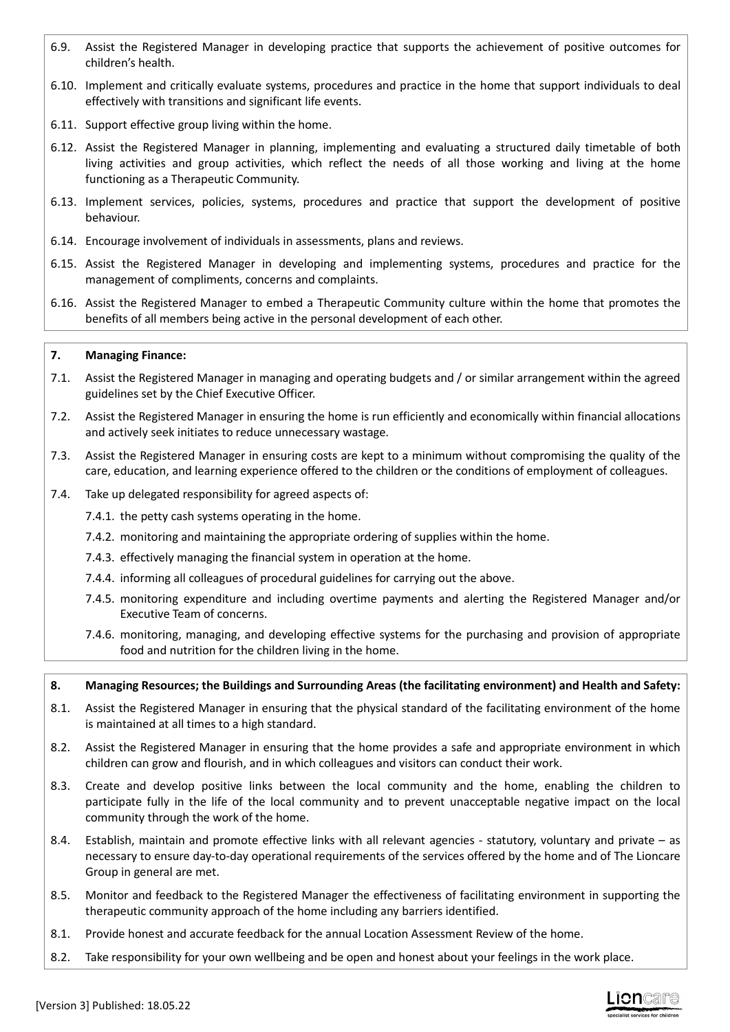- 6.9. Assist the Registered Manager in developing practice that supports the achievement of positive outcomes for children's health.
- 6.10. Implement and critically evaluate systems, procedures and practice in the home that support individuals to deal effectively with transitions and significant life events.
- 6.11. Support effective group living within the home.
- 6.12. Assist the Registered Manager in planning, implementing and evaluating a structured daily timetable of both living activities and group activities, which reflect the needs of all those working and living at the home functioning as a Therapeutic Community.
- 6.13. Implement services, policies, systems, procedures and practice that support the development of positive behaviour.
- 6.14. Encourage involvement of individuals in assessments, plans and reviews.
- 6.15. Assist the Registered Manager in developing and implementing systems, procedures and practice for the management of compliments, concerns and complaints.
- 6.16. Assist the Registered Manager to embed a Therapeutic Community culture within the home that promotes the benefits of all members being active in the personal development of each other.

## **7. Managing Finance:**

- 7.1. Assist the Registered Manager in managing and operating budgets and / or similar arrangement within the agreed guidelines set by the Chief Executive Officer.
- 7.2. Assist the Registered Manager in ensuring the home is run efficiently and economically within financial allocations and actively seek initiates to reduce unnecessary wastage.
- 7.3. Assist the Registered Manager in ensuring costs are kept to a minimum without compromising the quality of the care, education, and learning experience offered to the children or the conditions of employment of colleagues.
- 7.4. Take up delegated responsibility for agreed aspects of:
	- 7.4.1. the petty cash systems operating in the home.
	- 7.4.2. monitoring and maintaining the appropriate ordering of supplies within the home.
	- 7.4.3. effectively managing the financial system in operation at the home.
	- 7.4.4. informing all colleagues of procedural guidelines for carrying out the above.
	- 7.4.5. monitoring expenditure and including overtime payments and alerting the Registered Manager and/or Executive Team of concerns.
	- 7.4.6. monitoring, managing, and developing effective systems for the purchasing and provision of appropriate food and nutrition for the children living in the home.

#### **8. Managing Resources; the Buildings and Surrounding Areas (the facilitating environment) and Health and Safety:**

- 8.1. Assist the Registered Manager in ensuring that the physical standard of the facilitating environment of the home is maintained at all times to a high standard.
- 8.2. Assist the Registered Manager in ensuring that the home provides a safe and appropriate environment in which children can grow and flourish, and in which colleagues and visitors can conduct their work.
- 8.3. Create and develop positive links between the local community and the home, enabling the children to participate fully in the life of the local community and to prevent unacceptable negative impact on the local community through the work of the home.
- 8.4. Establish, maintain and promote effective links with all relevant agencies statutory, voluntary and private as necessary to ensure day-to-day operational requirements of the services offered by the home and of The Lioncare Group in general are met.
- 8.5. Monitor and feedback to the Registered Manager the effectiveness of facilitating environment in supporting the therapeutic community approach of the home including any barriers identified.
- 8.1. Provide honest and accurate feedback for the annual Location Assessment Review of the home.
- 8.2. Take responsibility for your own wellbeing and be open and honest about your feelings in the work place.

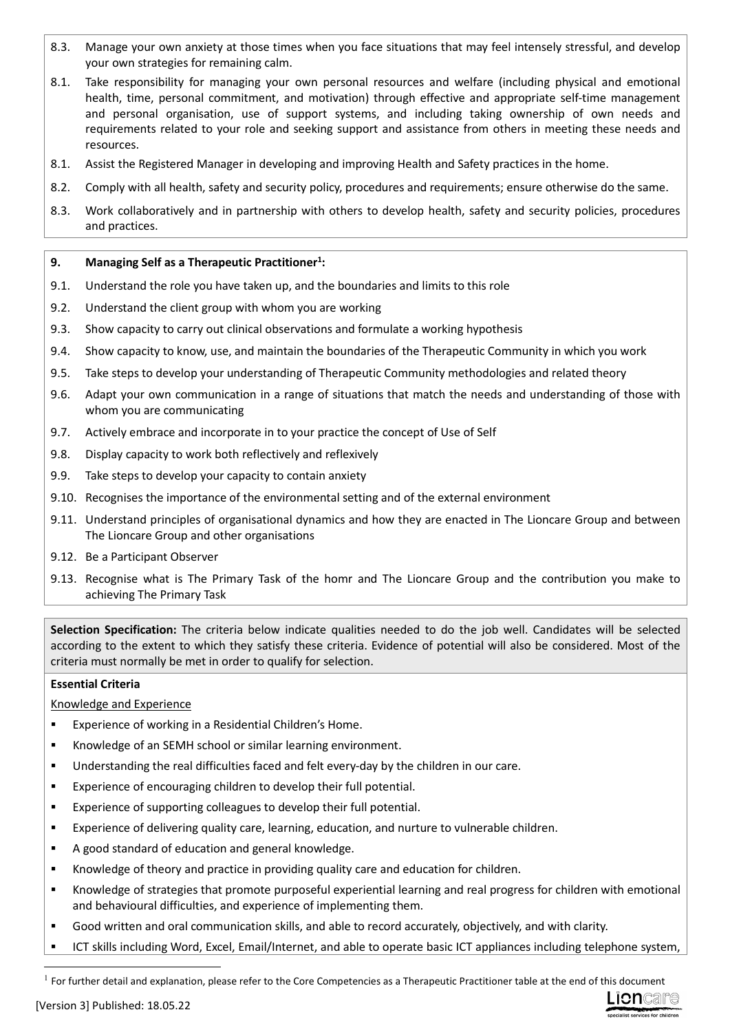- 8.3. Manage your own anxiety at those times when you face situations that may feel intensely stressful, and develop your own strategies for remaining calm.
- 8.1. Take responsibility for managing your own personal resources and welfare (including physical and emotional health, time, personal commitment, and motivation) through effective and appropriate self-time management and personal organisation, use of support systems, and including taking ownership of own needs and requirements related to your role and seeking support and assistance from others in meeting these needs and resources.
- 8.1. Assist the Registered Manager in developing and improving Health and Safety practices in the home.
- 8.2. Comply with all health, safety and security policy, procedures and requirements; ensure otherwise do the same.
- 8.3. Work collaboratively and in partnership with others to develop health, safety and security policies, procedures and practices.

## **9. Managing Self as a Therapeutic Practitioner<sup>1</sup> :**

- 9.1. Understand the role you have taken up, and the boundaries and limits to this role
- 9.2. Understand the client group with whom you are working
- 9.3. Show capacity to carry out clinical observations and formulate a working hypothesis
- 9.4. Show capacity to know, use, and maintain the boundaries of the Therapeutic Community in which you work
- 9.5. Take steps to develop your understanding of Therapeutic Community methodologies and related theory
- 9.6. Adapt your own communication in a range of situations that match the needs and understanding of those with whom you are communicating
- 9.7. Actively embrace and incorporate in to your practice the concept of Use of Self
- 9.8. Display capacity to work both reflectively and reflexively
- 9.9. Take steps to develop your capacity to contain anxiety
- 9.10. Recognises the importance of the environmental setting and of the external environment
- 9.11. Understand principles of organisational dynamics and how they are enacted in The Lioncare Group and between The Lioncare Group and other organisations
- 9.12. Be a Participant Observer
- 9.13. Recognise what is The Primary Task of the homr and The Lioncare Group and the contribution you make to achieving The Primary Task

**Selection Specification:** The criteria below indicate qualities needed to do the job well. Candidates will be selected according to the extent to which they satisfy these criteria. Evidence of potential will also be considered. Most of the criteria must normally be met in order to qualify for selection.

## **Essential Criteria**

Knowledge and Experience

- Experience of working in a Residential Children's Home.
- Knowledge of an SEMH school or similar learning environment.
- Understanding the real difficulties faced and felt every-day by the children in our care.
- Experience of encouraging children to develop their full potential.
- **EXPERIEGER** Experience of supporting colleagues to develop their full potential.
- Experience of delivering quality care, learning, education, and nurture to vulnerable children.
- A good standard of education and general knowledge.
- Knowledge of theory and practice in providing quality care and education for children.
- Knowledge of strategies that promote purposeful experiential learning and real progress for children with emotional and behavioural difficulties, and experience of implementing them.
- Good written and oral communication skills, and able to record accurately, objectively, and with clarity.
- ICT skills including Word, Excel, Email/Internet, and able to operate basic ICT appliances including telephone system,



 $<sup>1</sup>$  For further detail and explanation, please refer to the Core Competencies as a Therapeutic Practitioner table at the end of this document</sup>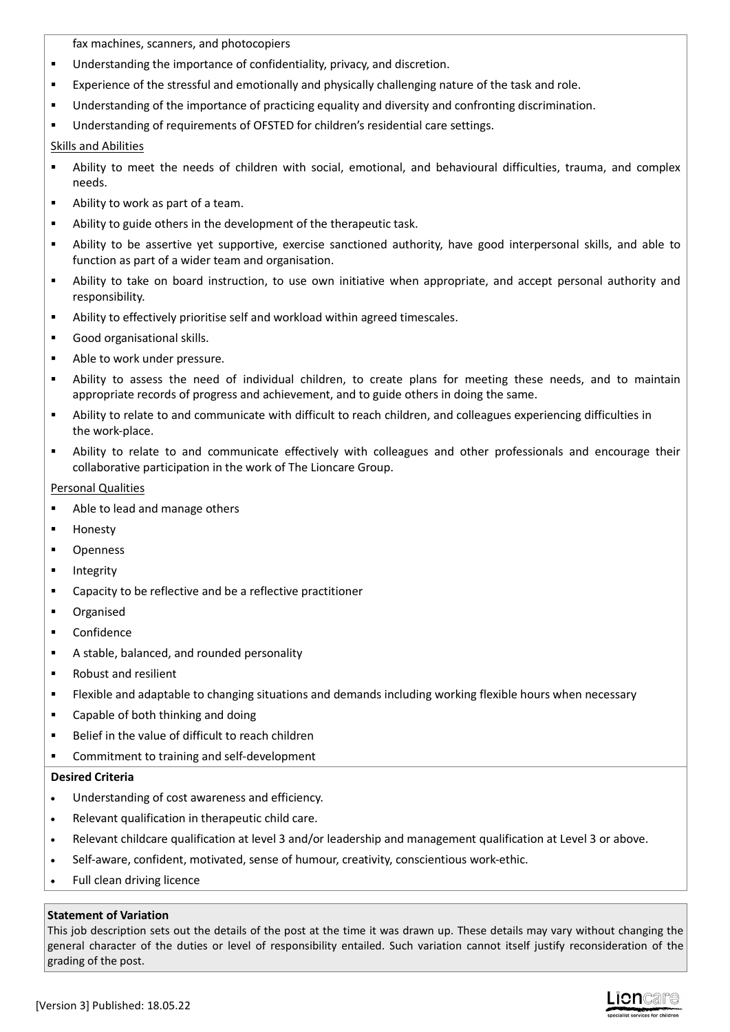fax machines, scanners, and photocopiers

- **Understanding the importance of confidentiality, privacy, and discretion.**
- **Experience of the stressful and emotionally and physically challenging nature of the task and role.**
- Understanding of the importance of practicing equality and diversity and confronting discrimination.
- Understanding of requirements of OFSTED for children's residential care settings.

# Skills and Abilities

- Ability to meet the needs of children with social, emotional, and behavioural difficulties, trauma, and complex needs.
- Ability to work as part of a team.
- Ability to guide others in the development of the therapeutic task.
- Ability to be assertive yet supportive, exercise sanctioned authority, have good interpersonal skills, and able to function as part of a wider team and organisation.
- Ability to take on board instruction, to use own initiative when appropriate, and accept personal authority and responsibility.
- Ability to effectively prioritise self and workload within agreed timescales.
- Good organisational skills.
- Able to work under pressure.
- Ability to assess the need of individual children, to create plans for meeting these needs, and to maintain appropriate records of progress and achievement, and to guide others in doing the same.
- Ability to relate to and communicate with difficult to reach children, and colleagues experiencing difficulties in the work-place.
- Ability to relate to and communicate effectively with colleagues and other professionals and encourage their collaborative participation in the work of The Lioncare Group.

## Personal Qualities

- Able to lead and manage others
- **Honesty**
- **•** Openness
- **Integrity**
- Capacity to be reflective and be a reflective practitioner
- **•** Organised
- **•** Confidence
- A stable, balanced, and rounded personality
- Robust and resilient
- Flexible and adaptable to changing situations and demands including working flexible hours when necessary
- **EXEC** Capable of both thinking and doing
- Belief in the value of difficult to reach children
- **EXECOMMITMENT TO THE INCOCOLLET COMMITMENT**

## **Desired Criteria**

- Understanding of cost awareness and efficiency.
- Relevant qualification in therapeutic child care.
- Relevant childcare qualification at level 3 and/or leadership and management qualification at Level 3 or above.
- Self-aware, confident, motivated, sense of humour, creativity, conscientious work-ethic.
- Full clean driving licence

## **Statement of Variation**

This job description sets out the details of the post at the time it was drawn up. These details may vary without changing the general character of the duties or level of responsibility entailed. Such variation cannot itself justify reconsideration of the grading of the post.